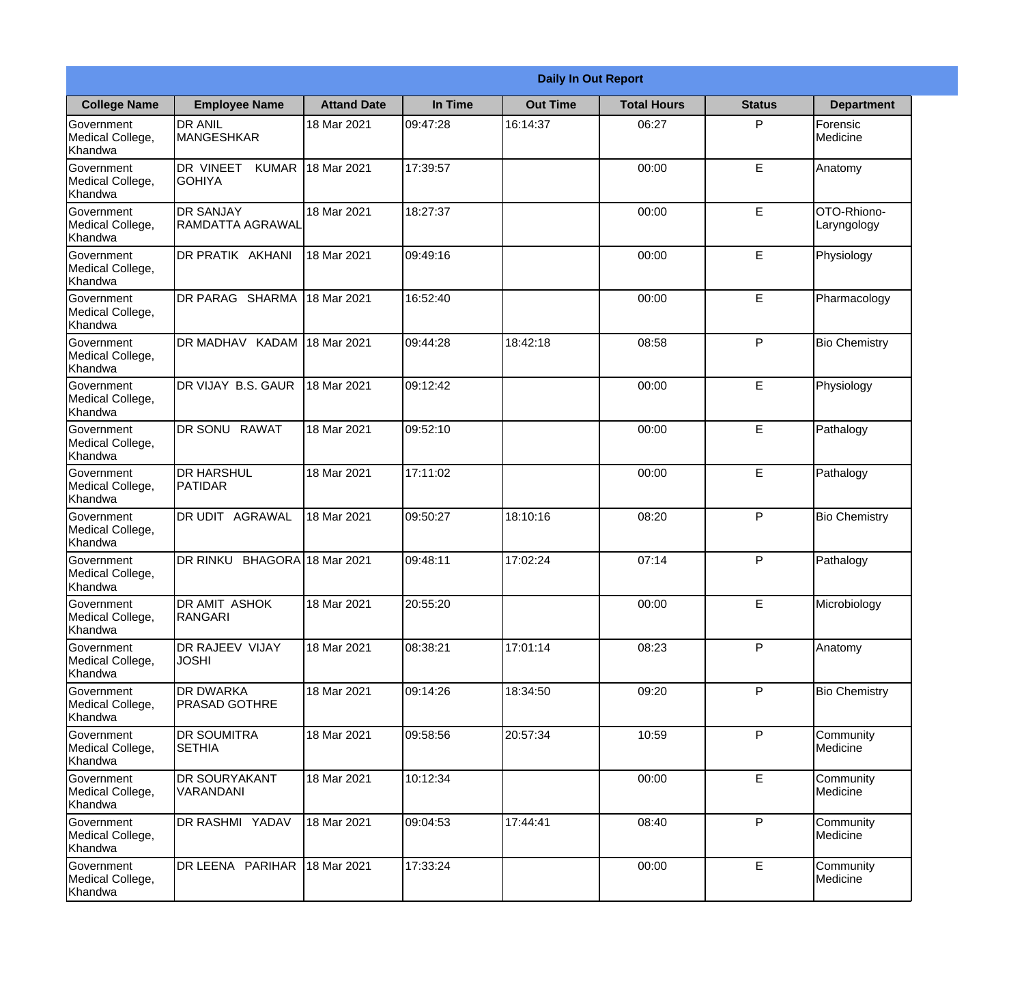|                                                  |                                            |                     | <b>Daily In Out Report</b> |                 |                    |               |                            |
|--------------------------------------------------|--------------------------------------------|---------------------|----------------------------|-----------------|--------------------|---------------|----------------------------|
| <b>College Name</b>                              | <b>Employee Name</b>                       | <b>Attand Date</b>  | In Time                    | <b>Out Time</b> | <b>Total Hours</b> | <b>Status</b> | <b>Department</b>          |
| Government<br>Medical College,<br>Khandwa        | <b>DR ANIL</b><br><b>MANGESHKAR</b>        | 18 Mar 2021         | 09:47:28                   | 16:14:37        | 06:27              | P             | Forensic<br>Medicine       |
| Government<br>Medical College,<br>Khandwa        | DR VINEET<br><b>KUMAR</b><br><b>GOHIYA</b> | 18 Mar 2021         | 17:39:57                   |                 | 00:00              | E             | Anatomy                    |
| <b>Government</b><br>Medical College,<br>Khandwa | <b>DR SANJAY</b><br>RAMDATTA AGRAWAL       | 18 Mar 2021         | 18:27:37                   |                 | 00:00              | E             | OTO-Rhiono-<br>Laryngology |
| Government<br>Medical College,<br>Khandwa        | DR PRATIK AKHANI                           | 18 Mar 2021         | 09:49:16                   |                 | 00:00              | E             | Physiology                 |
| Government<br>Medical College,<br>Khandwa        | DR PARAG SHARMA                            | 18 Mar 2021         | 16:52:40                   |                 | 00:00              | E             | Pharmacology               |
| Government<br>Medical College,<br>Khandwa        | DR MADHAV KADAM                            | 18 Mar 2021         | 09:44:28                   | 18:42:18        | 08:58              | P             | <b>Bio Chemistry</b>       |
| Government<br>Medical College,<br>Khandwa        | DR VIJAY B.S. GAUR                         | 18 Mar 2021         | 09:12:42                   |                 | 00:00              | E             | Physiology                 |
| Government<br>Medical College,<br>Khandwa        | DR SONU RAWAT                              | 18 Mar 2021         | 09:52:10                   |                 | 00:00              | E             | Pathalogy                  |
| Government<br>Medical College,<br>Khandwa        | <b>DR HARSHUL</b><br>PATIDAR               | 18 Mar 2021         | 17:11:02                   |                 | 00:00              | E             | Pathalogy                  |
| Government<br>Medical College,<br>Khandwa        | DR UDIT<br><b>AGRAWAL</b>                  | 18 Mar 2021         | 09:50:27                   | 18:10:16        | 08:20              | P             | <b>Bio Chemistry</b>       |
| Government<br>Medical College,<br>Khandwa        | <b>DR RINKU</b>                            | BHAGORA 18 Mar 2021 | 09:48:11                   | 17:02:24        | 07:14              | $\mathsf{P}$  | Pathalogy                  |
| Government<br>Medical College,<br>Khandwa        | <b>DR AMIT ASHOK</b><br>RANGARI            | 18 Mar 2021         | 20:55:20                   |                 | 00:00              | E             | Microbiology               |
| Government<br>Medical College,<br>Khandwa        | <b>DR RAJEEV VIJAY</b><br><b>JOSHI</b>     | 18 Mar 2021         | 08:38:21                   | 17:01:14        | 08:23              | P             | Anatomy                    |
| Government<br>Medical College,<br>Khandwa        | <b>DR DWARKA</b><br><b>PRASAD GOTHRE</b>   | 18 Mar 2021         | 09:14:26                   | 18:34:50        | 09:20              | P             | <b>Bio Chemistry</b>       |
| Government<br>Medical College,<br>Khandwa        | <b>DR SOUMITRA</b><br><b>SETHIA</b>        | 18 Mar 2021         | 09:58:56                   | 20:57:34        | 10:59              | $\mathsf{P}$  | Community<br>Medicine      |
| Government<br>Medical College,<br>Khandwa        | <b>DR SOURYAKANT</b><br>VARANDANI          | 18 Mar 2021         | 10:12:34                   |                 | 00:00              | E             | Community<br>Medicine      |
| Government<br>Medical College,<br>Khandwa        | DR RASHMI YADAV                            | 18 Mar 2021         | 09:04:53                   | 17:44:41        | 08:40              | P             | Community<br>Medicine      |
| Government<br>Medical College,<br>Khandwa        | DR LEENA PARIHAR                           | 18 Mar 2021         | 17:33:24                   |                 | 00:00              | E             | Community<br>Medicine      |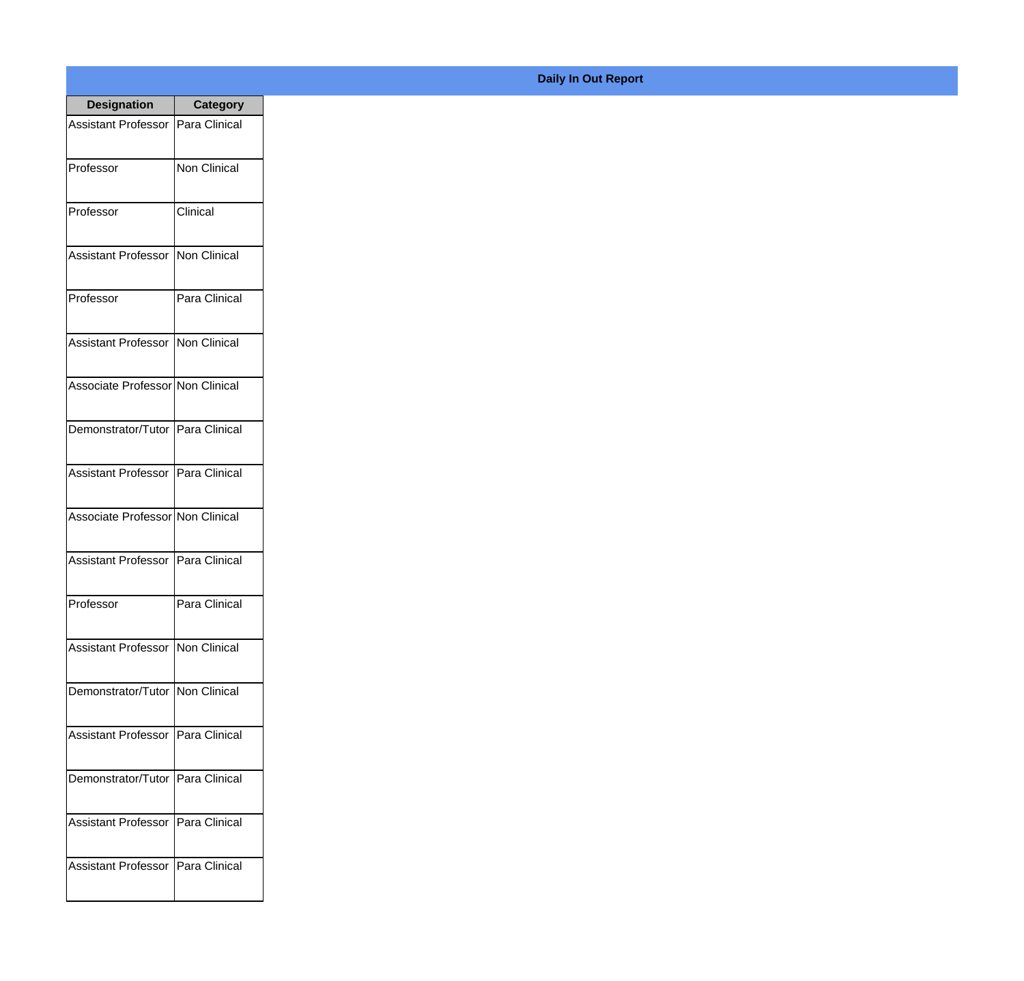| <b>Designation</b>                  | <b>Category</b>     |
|-------------------------------------|---------------------|
| Assistant Professor   Para Clinical |                     |
| Professor                           | <b>Non Clinical</b> |
| Professor                           | Clinical            |
| <b>Assistant Professor</b>          | Non Clinical        |
| Professor                           | Para Clinical       |
| Assistant Professor   Non Clinical  |                     |
| Associate Professor Non Clinical    |                     |
| Demonstrator/Tutor   Para Clinical  |                     |
| Assistant Professor   Para Clinical |                     |
| Associate Professor Non Clinical    |                     |
| Assistant Professor                 | Para Clinical       |
| Professor                           | Para Clinical       |
| Assistant Professor   Non Clinical  |                     |
| Demonstrator/Tutor   Non Clinical   |                     |
| Assistant Professor   Para Clinical |                     |
| Demonstrator/Tutor   Para Clinical  |                     |
| <b>Assistant Professor</b>          | Para Clinical       |
| <b>Assistant Professor</b>          | Para Clinical       |

## **Daily In Out Report**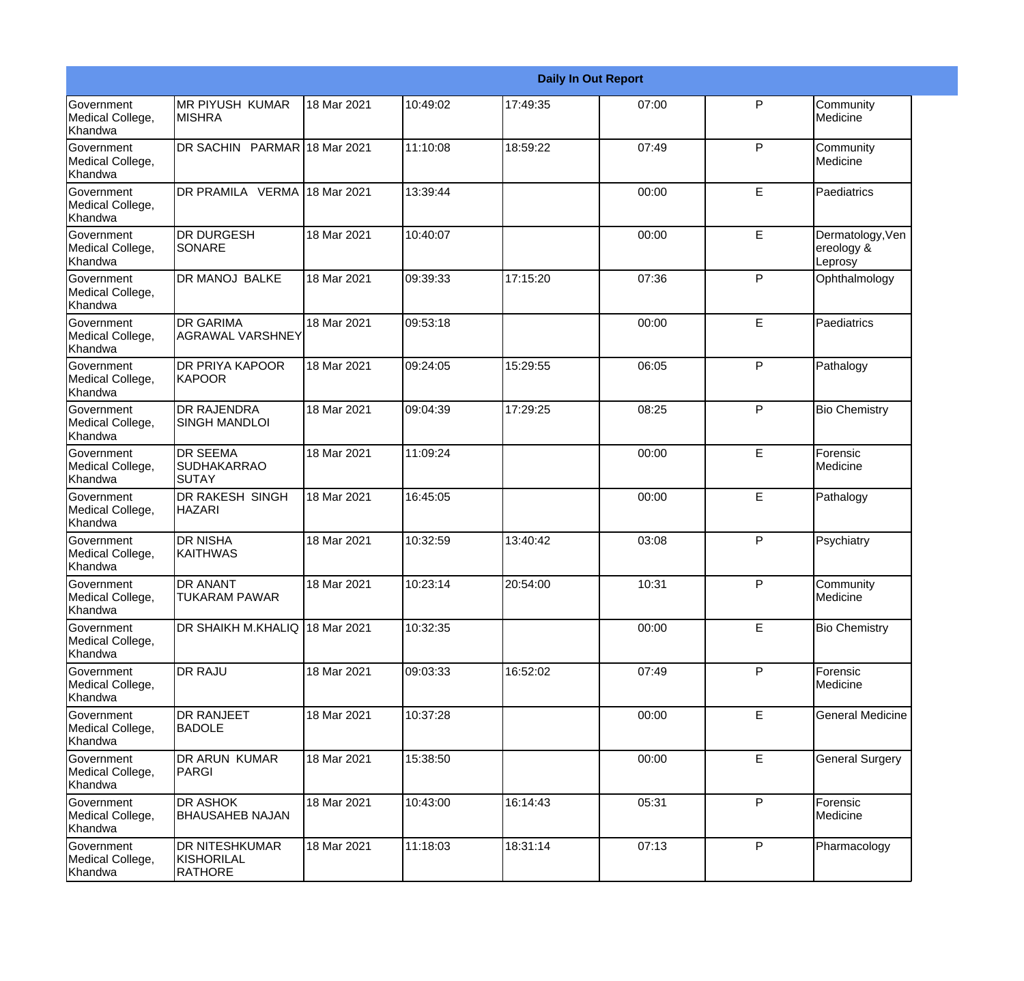|                                                         |                                                 |             |          |          | <b>Daily In Out Report</b> |              |                                           |
|---------------------------------------------------------|-------------------------------------------------|-------------|----------|----------|----------------------------|--------------|-------------------------------------------|
| <b>Government</b><br>Medical College,<br>Khandwa        | <b>MR PIYUSH KUMAR</b><br><b>MISHRA</b>         | 18 Mar 2021 | 10:49:02 | 17:49:35 | 07:00                      | $\mathsf{P}$ | Community<br>Medicine                     |
| <b>Government</b><br>Medical College,<br>Khandwa        | DR SACHIN PARMAR 18 Mar 2021                    |             | 11:10:08 | 18:59:22 | 07:49                      | $\mathsf{P}$ | Community<br>Medicine                     |
| <b>Government</b><br>Medical College,<br>Khandwa        | DR PRAMILA VERMA 18 Mar 2021                    |             | 13:39:44 |          | 00:00                      | E            | Paediatrics                               |
| Government<br>Medical College,<br>Khandwa               | <b>DR DURGESH</b><br>SONARE                     | 18 Mar 2021 | 10:40:07 |          | 00:00                      | E            | Dermatology, Ven<br>ereology &<br>Leprosy |
| Government<br>Medical College,<br>Khandwa               | DR MANOJ BALKE                                  | 18 Mar 2021 | 09:39:33 | 17:15:20 | 07:36                      | P            | Ophthalmology                             |
| <b>Government</b><br>Medical College,<br><b>Khandwa</b> | <b>DR GARIMA</b><br><b>AGRAWAL VARSHNEY</b>     | 18 Mar 2021 | 09:53:18 |          | 00:00                      | E            | Paediatrics                               |
| Government<br>Medical College,<br>Khandwa               | <b>DR PRIYA KAPOOR</b><br><b>KAPOOR</b>         | 18 Mar 2021 | 09:24:05 | 15:29:55 | 06:05                      | P            | Pathalogy                                 |
| Government<br>Medical College,<br>Khandwa               | <b>DR RAJENDRA</b><br><b>SINGH MANDLOI</b>      | 18 Mar 2021 | 09:04:39 | 17:29:25 | 08:25                      | P            | <b>Bio Chemistry</b>                      |
| Government<br>Medical College,<br>Khandwa               | <b>DR SEEMA</b><br><b>SUDHAKARRAO</b><br>ISUTAY | 18 Mar 2021 | 11:09:24 |          | 00:00                      | E            | Forensic<br>Medicine                      |
| <b>Government</b><br>Medical College,<br>Khandwa        | DR RAKESH SINGH<br><b>HAZARI</b>                | 18 Mar 2021 | 16:45:05 |          | 00:00                      | E            | Pathalogy                                 |
| <b>Government</b><br>Medical College,<br>Khandwa        | <b>DR NISHA</b><br><b>IKAITHWAS</b>             | 18 Mar 2021 | 10:32:59 | 13:40:42 | 03:08                      | $\mathsf{P}$ | Psychiatry                                |
| Government<br>Medical College,<br>Khandwa               | <b>DR ANANT</b><br><b>TUKARAM PAWAR</b>         | 18 Mar 2021 | 10:23:14 | 20:54:00 | 10:31                      | P            | Community<br>Medicine                     |
| <b>Government</b><br>Medical College,<br>Khandwa        | DR SHAIKH M.KHALIQ 18 Mar 2021                  |             | 10:32:35 |          | 00:00                      | E            | <b>Bio Chemistry</b>                      |
| Government<br>Medical College,<br>Khandwa               | DR RAJU                                         | 18 Mar 2021 | 09:03:33 | 16:52:02 | 07:49                      | P            | Forensic<br>Medicine                      |
| Government<br>Medical College,<br>Khandwa               | <b>DR RANJEET</b><br><b>BADOLE</b>              | 18 Mar 2021 | 10:37:28 |          | 00:00                      | E            | <b>General Medicine</b>                   |
| Government<br>Medical College,<br>Khandwa               | <b>DR ARUN KUMAR</b><br>PARGI                   | 18 Mar 2021 | 15:38:50 |          | 00:00                      | E            | <b>General Surgery</b>                    |
| Government<br>Medical College,<br>Khandwa               | DR ASHOK<br><b>BHAUSAHEB NAJAN</b>              | 18 Mar 2021 | 10:43:00 | 16:14:43 | 05:31                      | P            | Forensic<br>Medicine                      |
| Government<br>Medical College,<br>Khandwa               | DR NITESHKUMAR<br>KISHORILAL<br><b>RATHORE</b>  | 18 Mar 2021 | 11:18:03 | 18:31:14 | 07:13                      | P            | Pharmacology                              |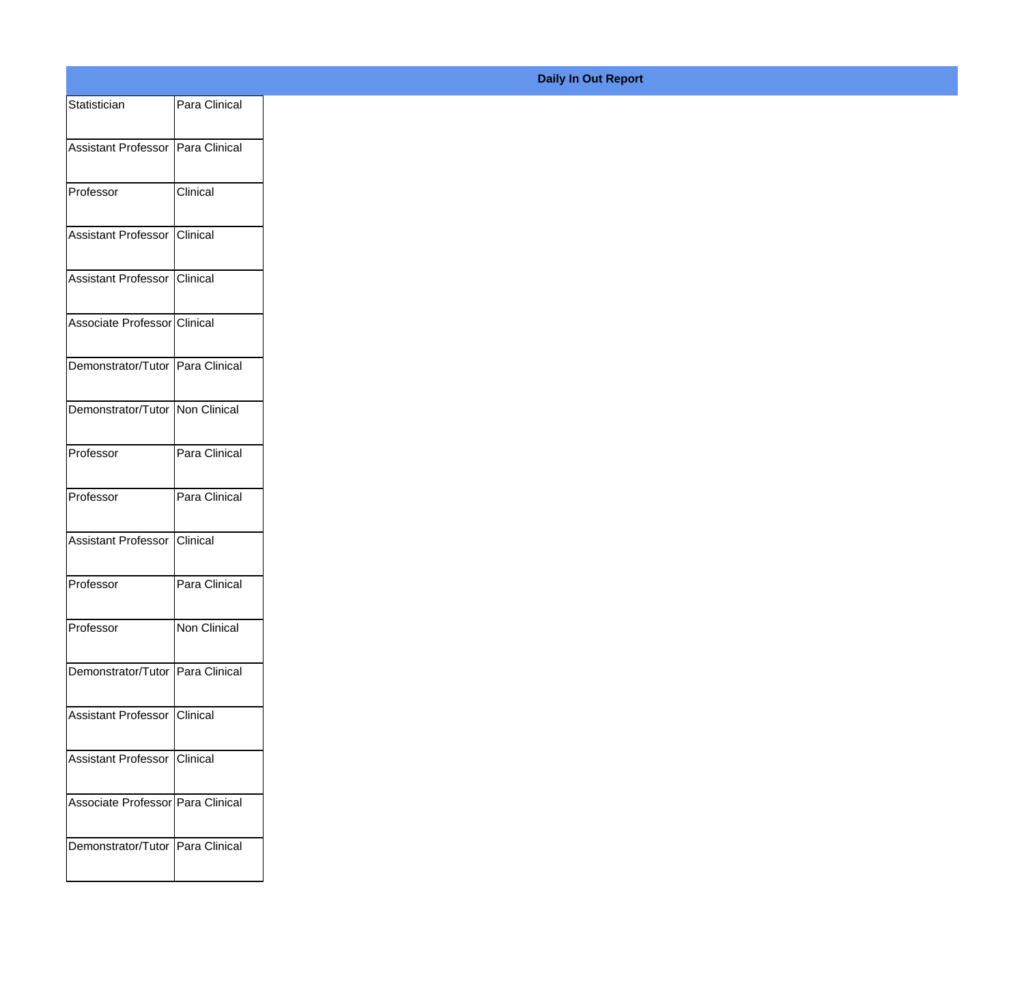| Statistician                      | Para Clinical |
|-----------------------------------|---------------|
| Assistant Professor Para Clinical |               |
|                                   |               |
| Professor                         | Clinical      |
| Assistant Professor               | Clinical      |
| Assistant Professor               | Clinical      |
| Associate Professor Clinical      |               |
| Demonstrator/Tutor Para Clinical  |               |
| Demonstrator/Tutor Non Clinical   |               |
|                                   |               |
| Professor                         | Para Clinical |
| Professor                         | Para Clinical |
| Assistant Professor Clinical      |               |
| Professor                         | Para Clinical |
| Professor                         | Non Clinical  |
| Demonstrator/Tutor Para Clinical  |               |
|                                   |               |
| Assistant Professor Clinical      |               |
| Assistant Professor Clinical      |               |
| Associate Professor Para Clinical |               |
| Demonstrator/Tutor Para Clinical  |               |
|                                   |               |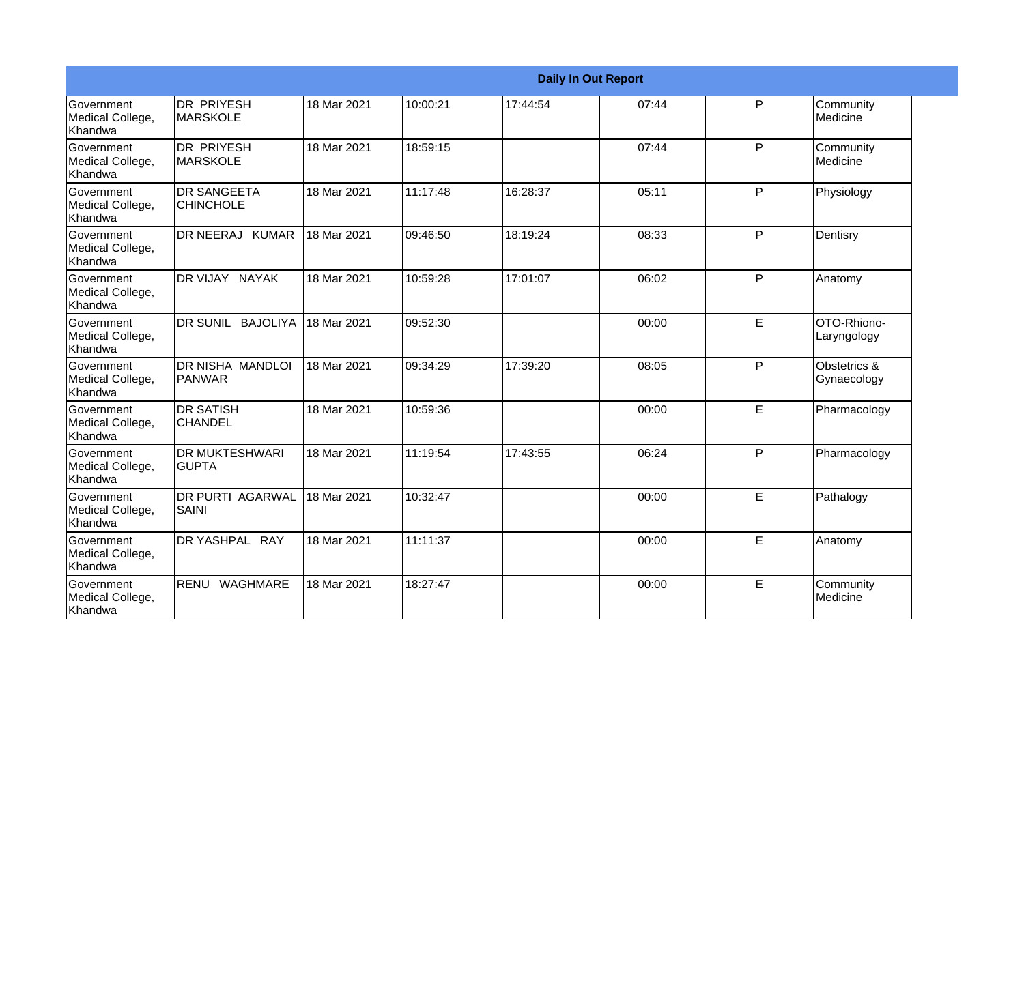|                                           | <b>Daily In Out Report</b>              |             |          |          |       |   |                             |  |  |
|-------------------------------------------|-----------------------------------------|-------------|----------|----------|-------|---|-----------------------------|--|--|
| Government<br>Medical College,<br>Khandwa | <b>DR PRIYESH</b><br>IMARSKOLE          | 18 Mar 2021 | 10:00:21 | 17:44:54 | 07:44 | P | Community<br>Medicine       |  |  |
| Government<br>Medical College,<br>Khandwa | <b>DR PRIYESH</b><br>IMARSKOLE          | 18 Mar 2021 | 18:59:15 |          | 07:44 | P | Community<br>Medicine       |  |  |
| Government<br>Medical College,<br>Khandwa | <b>DR SANGEETA</b><br><b>CHINCHOLE</b>  | 18 Mar 2021 | 11:17:48 | 16:28:37 | 05:11 | P | Physiology                  |  |  |
| Government<br>Medical College,<br>Khandwa | DR NEERAJ KUMAR                         | 18 Mar 2021 | 09:46:50 | 18:19:24 | 08:33 | P | Dentisry                    |  |  |
| Government<br>Medical College,<br>Khandwa | DR VIJAY NAYAK                          | 18 Mar 2021 | 10:59:28 | 17:01:07 | 06:02 | P | Anatomy                     |  |  |
| Government<br>Medical College,<br>Khandwa | <b>DR SUNIL</b><br><b>BAJOLIYA</b>      | 18 Mar 2021 | 09:52:30 |          | 00:00 | E | OTO-Rhiono-<br>Laryngology  |  |  |
| Government<br>Medical College,<br>Khandwa | DR NISHA MANDLOI<br>PANWAR              | 18 Mar 2021 | 09:34:29 | 17:39:20 | 08:05 | P | Obstetrics &<br>Gynaecology |  |  |
| Government<br>Medical College,<br>Khandwa | <b>DR SATISH</b><br><b>CHANDEL</b>      | 18 Mar 2021 | 10:59:36 |          | 00:00 | E | Pharmacology                |  |  |
| Government<br>Medical College,<br>Khandwa | <b>DR MUKTESHWARI</b><br><b>GUPTA</b>   | 18 Mar 2021 | 11:19:54 | 17:43:55 | 06:24 | P | Pharmacology                |  |  |
| Government<br>Medical College,<br>Khandwa | <b>DR PURTI AGARWAL</b><br><b>SAINI</b> | 18 Mar 2021 | 10:32:47 |          | 00:00 | E | Pathalogy                   |  |  |
| Government<br>Medical College,<br>Khandwa | DR YASHPAL RAY                          | 18 Mar 2021 | 11:11:37 |          | 00:00 | E | Anatomy                     |  |  |
| Government<br>Medical College,<br>Khandwa | WAGHMARE<br><b>RENU</b>                 | 18 Mar 2021 | 18:27:47 |          | 00:00 | E | Community<br>Medicine       |  |  |